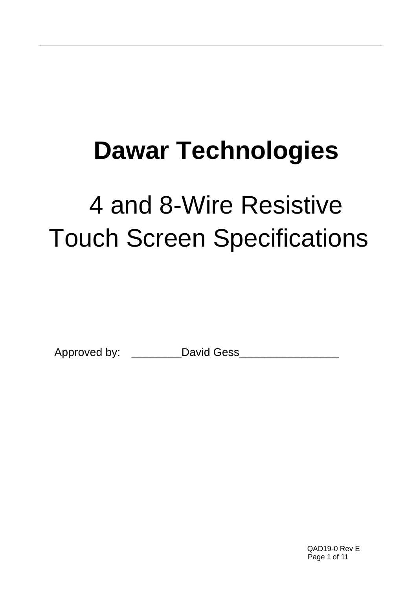# **Dawar Technologies**

# 4 and 8-Wire Resistive Touch Screen Specifications

Approved by: \_\_\_\_\_\_\_\_David Gess\_\_\_\_\_\_\_\_\_\_\_\_\_\_\_\_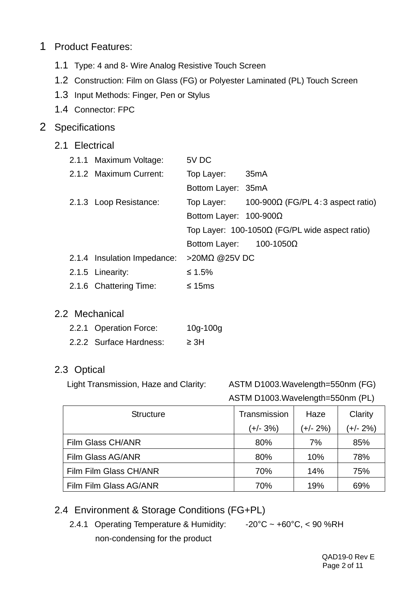# 1 Product Features:

- 1.1 Type: 4 and 8- Wire Analog Resistive Touch Screen
- 1.2 Construction: Film on Glass (FG) or Polyester Laminated (PL) Touch Screen
- 1.3 Input Methods: Finger, Pen or Stylus
- 1.4 Connector: FPC

## 2 Specifications

## 2.1 Electrical

| 2.1.1 Maximum Voltage:      | 5V DC                          |                                                       |
|-----------------------------|--------------------------------|-------------------------------------------------------|
| 2.1.2 Maximum Current:      | Top Layer:                     | 35 <sub>m</sub> A                                     |
|                             | Bottom Layer: 35mA             |                                                       |
| 2.1.3 Loop Resistance:      |                                | Top Layer: $100-900\Omega$ (FG/PL 4:3 aspect ratio)   |
|                             | Bottom Layer: $100-900\Omega$  |                                                       |
|                             |                                | Top Layer: $100-1050\Omega$ (FG/PL wide aspect ratio) |
|                             | Bottom Layer: $100-1050\Omega$ |                                                       |
| 2.1.4 Insulation Impedance: | >20MΩ @25V DC                  |                                                       |
| 2.1.5 Linearity:            | ≤ 1.5%                         |                                                       |
|                             |                                |                                                       |

2.1.6 Chattering Time: ≤ 15ms

## 2.2 Mechanical

- 2.2.1 Operation Force: 10g-100g
- 2.2.2 Surface Hardness: ≥ 3H

## 2.3 Optical

Light Transmission, Haze and Clarity: ASTM D1003.Wavelength=550nm (FG) ASTM D1003.Wavelength=550nm (PL)

| <b>Structure</b>       | Transmission | Haze     | Clarity  |  |
|------------------------|--------------|----------|----------|--|
|                        | (+/- 3%)     | (+/- 2%) | (+/- 2%) |  |
| Film Glass CH/ANR      | 80%          | 7%       | 85%      |  |
| Film Glass AG/ANR      | 80%          | 10%      | 78%      |  |
| Film Film Glass CH/ANR | 70%          | 14%      | 75%      |  |
| Film Film Glass AG/ANR | 70%          | 19%      | 69%      |  |

# 2.4 Environment & Storage Conditions (FG+PL)

2.4.1 Operating Temperature & Humidity: -20°C ~ +60°C, < 90 %RH non-condensing for the product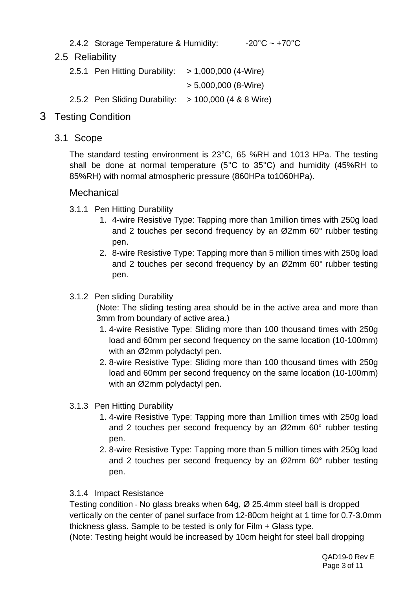2.4.2 Storage Temperature & Humidity:  $-20^{\circ}$ C ~  $+70^{\circ}$ C

# 2.5 Reliability

- 2.5.1 Pen Hitting Durability: > 1,000,000 (4-Wire) > 5,000,000 (8-Wire) 2.5.2 Pen Sliding Durability: > 100,000 (4 & 8 Wire)
- 3 Testing Condition
	- 3.1 Scope

The standard testing environment is 23°C, 65 %RH and 1013 HPa. The testing shall be done at normal temperature (5°C to 35°C) and humidity (45%RH to 85%RH) with normal atmospheric pressure (860HPa to1060HPa).

## **Mechanical**

- 3.1.1 Pen Hitting Durability
	- 1. 4-wire Resistive Type: Tapping more than 1million times with 250g load and 2 touches per second frequency by an Ø2mm 60° rubber testing pen.
	- 2. 8-wire Resistive Type: Tapping more than 5 million times with 250g load and 2 touches per second frequency by an Ø2mm 60° rubber testing pen.

### 3.1.2 Pen sliding Durability

(Note: The sliding testing area should be in the active area and more than 3mm from boundary of active area.)

- 1. 4-wire Resistive Type: Sliding more than 100 thousand times with 250g load and 60mm per second frequency on the same location (10-100mm) with an Ø2mm polydactyl pen.
- 2. 8-wire Resistive Type: Sliding more than 100 thousand times with 250g load and 60mm per second frequency on the same location (10-100mm) with an Ø2mm polydactyl pen.
- 3.1.3 Pen Hitting Durability
	- 1. 4-wire Resistive Type: Tapping more than 1million times with 250g load and 2 touches per second frequency by an Ø2mm 60° rubber testing pen.
	- 2. 8-wire Resistive Type: Tapping more than 5 million times with 250g load and 2 touches per second frequency by an Ø2mm 60° rubber testing pen.

#### 3.1.4 Impact Resistance

Testing condition - No glass breaks when 64g, Ø 25.4mm steel ball is dropped vertically on the center of panel surface from 12-80cm height at 1 time for 0.7-3.0mm thickness glass. Sample to be tested is only for Film + Glass type.

(Note: Testing height would be increased by 10cm height for steel ball dropping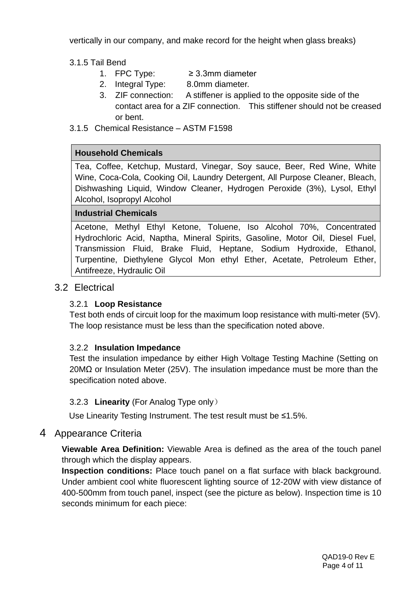vertically in our company, and make record for the height when glass breaks)

3.1.5 Tail Bend

- 1. FPC Type:  $≥ 3.3$ mm diameter
- 2. Integral Type: 8.0mm diameter.
- 3. ZIF connection: A stiffener is applied to the opposite side of the contact area for a ZIF connection. This stiffener should not be creased or bent.

3.1.5 Chemical Resistance – ASTM F1598

#### **Household Chemicals**

Tea, Coffee, Ketchup, Mustard, Vinegar, Soy sauce, Beer, Red Wine, White Wine, Coca-Cola, Cooking Oil, Laundry Detergent, All Purpose Cleaner, Bleach, Dishwashing Liquid, Window Cleaner, Hydrogen Peroxide (3%), Lysol, Ethyl Alcohol, Isopropyl Alcohol

#### **Industrial Chemicals**

Acetone, Methyl Ethyl Ketone, Toluene, Iso Alcohol 70%, Concentrated Hydrochloric Acid, Naptha, Mineral Spirits, Gasoline, Motor Oil, Diesel Fuel, Transmission Fluid, Brake Fluid, Heptane, Sodium Hydroxide, Ethanol, Turpentine, Diethylene Glycol Mon ethyl Ether, Acetate, Petroleum Ether, Antifreeze, Hydraulic Oil

## 3.2 Electrical

#### 3.2.1 **Loop Resistance**

Test both ends of circuit loop for the maximum loop resistance with multi-meter (5V). The loop resistance must be less than the specification noted above.

#### 3.2.2 **Insulation Impedance**

Test the insulation impedance by either High Voltage Testing Machine (Setting on 20MΩ or Insulation Meter (25V). The insulation impedance must be more than the specification noted above.

#### 3.2.3 **Linearity** (For Analog Type only)

Use Linearity Testing Instrument. The test result must be ≤1.5%.

## 4 Appearance Criteria

**Viewable Area Definition:** Viewable Area is defined as the area of the touch panel through which the display appears.

**Inspection conditions:** Place touch panel on a flat surface with black background. Under ambient cool white fluorescent lighting source of 12-20W with view distance of 400-500mm from touch panel, inspect (see the picture as below). Inspection time is 10 seconds minimum for each piece: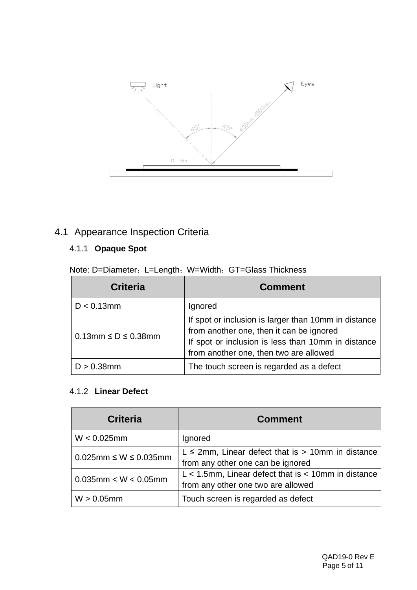

# 4.1 Appearance Inspection Criteria

# 4.1.1 **Opaque Spot**

Note: D=Diameter; L=Length; W=Width; GT=Glass Thickness

| <b>Criteria</b>                 | <b>Comment</b>                                                                                                                                                                                   |
|---------------------------------|--------------------------------------------------------------------------------------------------------------------------------------------------------------------------------------------------|
| $D < 0.13$ mm                   | Ignored                                                                                                                                                                                          |
| $0.13$ mm $\leq D \leq 0.38$ mm | If spot or inclusion is larger than 10mm in distance<br>from another one, then it can be ignored<br>If spot or inclusion is less than 10mm in distance<br>from another one, then two are allowed |
| $D > 0.38$ mm                   | The touch screen is regarded as a defect                                                                                                                                                         |

#### 4.1.2 **Linear Defect**

| <b>Criteria</b>                   | <b>Comment</b>                                                                                  |
|-----------------------------------|-------------------------------------------------------------------------------------------------|
| $W < 0.025$ mm                    | Ignored                                                                                         |
| $0.025$ mm $\leq W \leq 0.035$ mm | $L \le 2$ mm, Linear defect that is > 10mm in distance<br>from any other one can be ignored     |
| $0.035$ mm < W < $0.05$ mm        | $L < 1.5$ mm, Linear defect that is $< 10$ mm in distance<br>from any other one two are allowed |
| $W > 0.05$ mm                     | Touch screen is regarded as defect                                                              |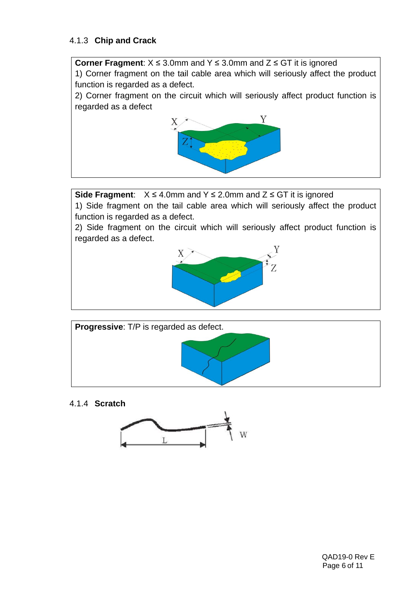#### 4.1.3 **Chip and Crack**

**Corner Fragment**: X ≤ 3.0mm and Y ≤ 3.0mm and Z ≤ GT it is ignored

1) Corner fragment on the tail cable area which will seriously affect the product function is regarded as a defect.

2) Corner fragment on the circuit which will seriously affect product function is regarded as a defect



**Side Fragment**: X ≤ 4.0mm and Y ≤ 2.0mm and Z ≤ GT it is ignored

1) Side fragment on the tail cable area which will seriously affect the product function is regarded as a defect.

2) Side fragment on the circuit which will seriously affect product function is regarded as a defect.





4.1.4 **Scratch**

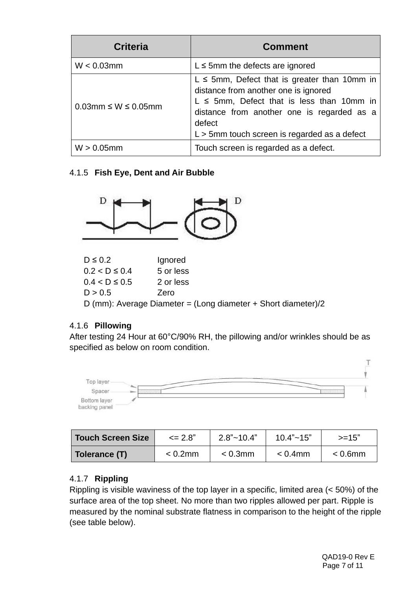| <b>Criteria</b>                 | <b>Comment</b>                                                                                                                                                                                                                                         |
|---------------------------------|--------------------------------------------------------------------------------------------------------------------------------------------------------------------------------------------------------------------------------------------------------|
| $W < 0.03$ mm                   | $L \le 5$ mm the defects are ignored                                                                                                                                                                                                                   |
| $0.03$ mm $\leq W \leq 0.05$ mm | $L \le 5$ mm, Defect that is greater than 10mm in<br>distance from another one is ignored<br>$L \le 5$ mm, Defect that is less than 10mm in<br>distance from another one is regarded as a<br>defect<br>$L > 5$ mm touch screen is regarded as a defect |
| $W > 0.05$ mm                   | Touch screen is regarded as a defect.                                                                                                                                                                                                                  |

4.1.5 **Fish Eye, Dent and Air Bubble**



| $D \leq 0.2$                                                  | Ignored   |  |
|---------------------------------------------------------------|-----------|--|
| $0.2 < D \le 0.4$                                             | 5 or less |  |
| $0.4 < D \le 0.5$                                             | 2 or less |  |
| D > 0.5                                                       | Zero      |  |
| D (mm): Average Diameter = (Long diameter + Short diameter)/2 |           |  |
|                                                               |           |  |

## 4.1.6 **Pillowing**

After testing 24 Hour at 60°C/90% RH, the pillowing and/or wrinkles should be as specified as below on room condition.



| Touch Screen Size | $\leq$ 2.8" | $2.8"$ ~ 10.4" | $10.4"$ ~ $15"$ | >=15"      |
|-------------------|-------------|----------------|-----------------|------------|
| Tolerance (T)     | $< 0.2$ mm  | $< 0.3$ mm     | $< 0.4$ mm      | $< 0.6$ mm |

# 4.1.7 **Rippling**

Rippling is visible waviness of the top layer in a specific, limited area (< 50%) of the surface area of the top sheet. No more than two ripples allowed per part. Ripple is measured by the nominal substrate flatness in comparison to the height of the ripple (see table below).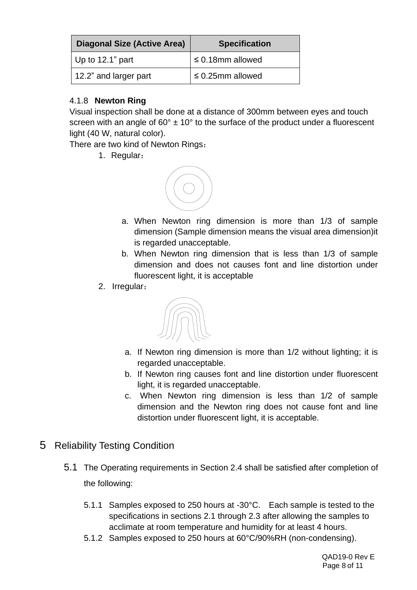| <b>Diagonal Size (Active Area)</b> | <b>Specification</b>  |
|------------------------------------|-----------------------|
| $\vert$ Up to 12.1" part           | $\leq$ 0.18mm allowed |
| 12.2" and larger part              | $\leq$ 0.25mm allowed |

## 4.1.8 **Newton Ring**

Visual inspection shall be done at a distance of 300mm between eyes and touch screen with an angle of  $60^{\circ} \pm 10^{\circ}$  to the surface of the product under a fluorescent light (40 W, natural color).

There are two kind of Newton Rings:

1. Regular:



- a. When Newton ring dimension is more than 1/3 of sample dimension (Sample dimension means the visual area dimension)it is regarded unacceptable.
- b. When Newton ring dimension that is less than 1/3 of sample dimension and does not causes font and line distortion under fluorescent light, it is acceptable
- 2. Irregular:



- a. If Newton ring dimension is more than 1/2 without lighting; it is regarded unacceptable.
- b. If Newton ring causes font and line distortion under fluorescent light, it is regarded unacceptable.
- c. When Newton ring dimension is less than 1/2 of sample dimension and the Newton ring does not cause font and line distortion under fluorescent light, it is acceptable.
- 5 Reliability Testing Condition
	- 5.1 The Operating requirements in Section 2.4 shall be satisfied after completion of the following:
		- 5.1.1 Samples exposed to 250 hours at -30°C. Each sample is tested to the specifications in sections 2.1 through 2.3 after allowing the samples to acclimate at room temperature and humidity for at least 4 hours.
		- 5.1.2 Samples exposed to 250 hours at 60°C/90%RH (non-condensing).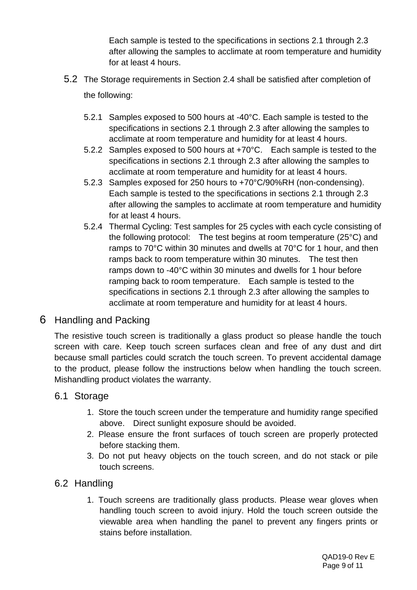Each sample is tested to the specifications in sections 2.1 through 2.3 after allowing the samples to acclimate at room temperature and humidity for at least 4 hours.

- 5.2 The Storage requirements in Section 2.4 shall be satisfied after completion of the following:
	- 5.2.1 Samples exposed to 500 hours at -40°C. Each sample is tested to the specifications in sections 2.1 through 2.3 after allowing the samples to acclimate at room temperature and humidity for at least 4 hours.
	- 5.2.2 Samples exposed to 500 hours at +70°C. Each sample is tested to the specifications in sections 2.1 through 2.3 after allowing the samples to acclimate at room temperature and humidity for at least 4 hours.
	- 5.2.3 Samples exposed for 250 hours to +70°C/90%RH (non-condensing). Each sample is tested to the specifications in sections 2.1 through 2.3 after allowing the samples to acclimate at room temperature and humidity for at least 4 hours.
	- 5.2.4 Thermal Cycling: Test samples for 25 cycles with each cycle consisting of the following protocol: The test begins at room temperature (25°C) and ramps to 70°C within 30 minutes and dwells at 70°C for 1 hour, and then ramps back to room temperature within 30 minutes. The test then ramps down to -40°C within 30 minutes and dwells for 1 hour before ramping back to room temperature. Each sample is tested to the specifications in sections 2.1 through 2.3 after allowing the samples to acclimate at room temperature and humidity for at least 4 hours.

# 6 Handling and Packing

The resistive touch screen is traditionally a glass product so please handle the touch screen with care. Keep touch screen surfaces clean and free of any dust and dirt because small particles could scratch the touch screen. To prevent accidental damage to the product, please follow the instructions below when handling the touch screen. Mishandling product violates the warranty.

## 6.1 Storage

- 1. Store the touch screen under the temperature and humidity range specified above. Direct sunlight exposure should be avoided.
- 2. Please ensure the front surfaces of touch screen are properly protected before stacking them.
- 3. Do not put heavy objects on the touch screen, and do not stack or pile touch screens.

# 6.2 Handling

1. Touch screens are traditionally glass products. Please wear gloves when handling touch screen to avoid injury. Hold the touch screen outside the viewable area when handling the panel to prevent any fingers prints or stains before installation.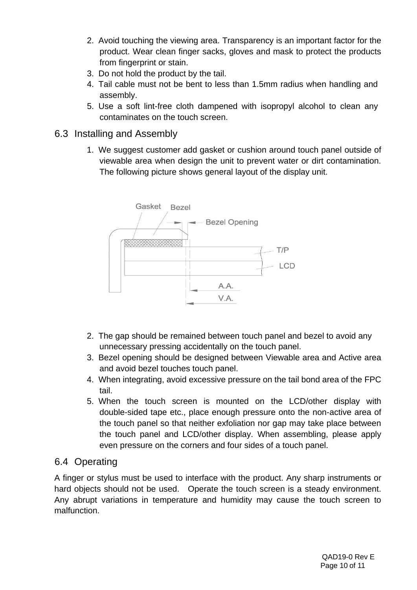- 2. Avoid touching the viewing area. Transparency is an important factor for the product. Wear clean finger sacks, gloves and mask to protect the products from fingerprint or stain.
- 3. Do not hold the product by the tail.
- 4. Tail cable must not be bent to less than 1.5mm radius when handling and assembly.
- 5. Use a soft lint-free cloth dampened with isopropyl alcohol to clean any contaminates on the touch screen.
- 6.3 Installing and Assembly
	- 1. We suggest customer add gasket or cushion around touch panel outside of viewable area when design the unit to prevent water or dirt contamination. The following picture shows general layout of the display unit.



- 2. The gap should be remained between touch panel and bezel to avoid any unnecessary pressing accidentally on the touch panel.
- 3. Bezel opening should be designed between Viewable area and Active area and avoid bezel touches touch panel.
- 4. When integrating, avoid excessive pressure on the tail bond area of the FPC tail.
- 5. When the touch screen is mounted on the LCD/other display with double-sided tape etc., place enough pressure onto the non-active area of the touch panel so that neither exfoliation nor gap may take place between the touch panel and LCD/other display. When assembling, please apply even pressure on the corners and four sides of a touch panel.

# 6.4 Operating

A finger or stylus must be used to interface with the product. Any sharp instruments or hard objects should not be used. Operate the touch screen is a steady environment. Any abrupt variations in temperature and humidity may cause the touch screen to malfunction.